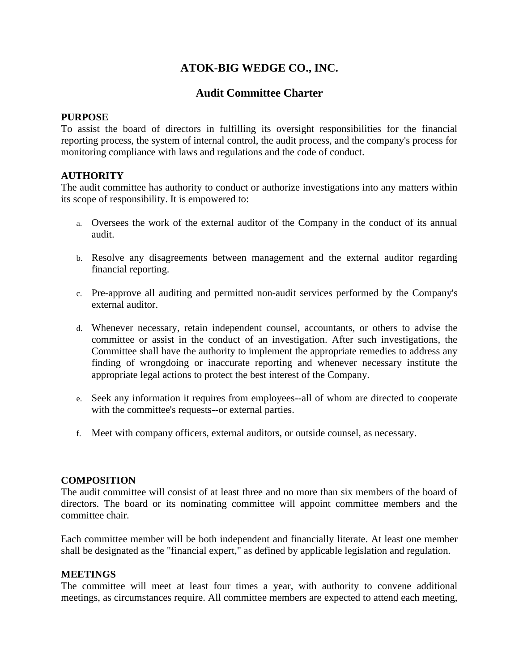# **ATOK-BIG WEDGE CO., INC.**

# **Audit Committee Charter**

#### **PURPOSE**

To assist the board of directors in fulfilling its oversight responsibilities for the financial reporting process, the system of internal control, the audit process, and the company's process for monitoring compliance with laws and regulations and the code of conduct.

### **AUTHORITY**

The audit committee has authority to conduct or authorize investigations into any matters within its scope of responsibility. It is empowered to:

- a. Oversees the work of the external auditor of the Company in the conduct of its annual audit.
- b. Resolve any disagreements between management and the external auditor regarding financial reporting.
- c. Pre-approve all auditing and permitted non-audit services performed by the Company's external auditor.
- d. Whenever necessary, retain independent counsel, accountants, or others to advise the committee or assist in the conduct of an investigation. After such investigations, the Committee shall have the authority to implement the appropriate remedies to address any finding of wrongdoing or inaccurate reporting and whenever necessary institute the appropriate legal actions to protect the best interest of the Company.
- e. Seek any information it requires from employees--all of whom are directed to cooperate with the committee's requests--or external parties.
- f. Meet with company officers, external auditors, or outside counsel, as necessary.

### **COMPOSITION**

The audit committee will consist of at least three and no more than six members of the board of directors. The board or its nominating committee will appoint committee members and the committee chair.

Each committee member will be both independent and financially literate. At least one member shall be designated as the "financial expert," as defined by applicable legislation and regulation.

#### **MEETINGS**

The committee will meet at least four times a year, with authority to convene additional meetings, as circumstances require. All committee members are expected to attend each meeting,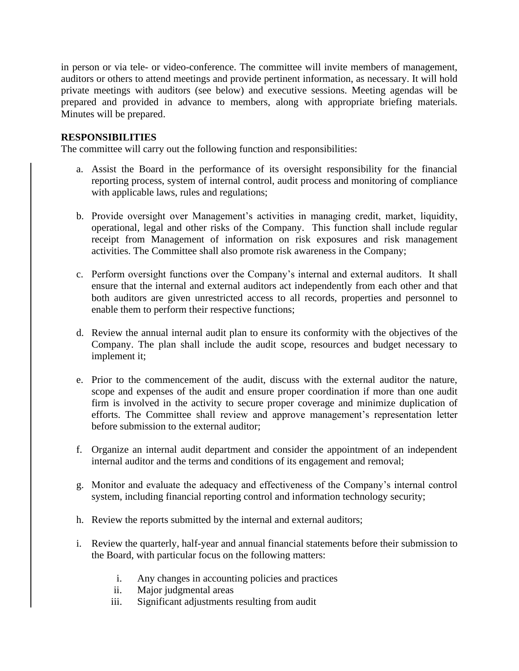in person or via tele- or video-conference. The committee will invite members of management, auditors or others to attend meetings and provide pertinent information, as necessary. It will hold private meetings with auditors (see below) and executive sessions. Meeting agendas will be prepared and provided in advance to members, along with appropriate briefing materials. Minutes will be prepared.

## **RESPONSIBILITIES**

The committee will carry out the following function and responsibilities:

- a. Assist the Board in the performance of its oversight responsibility for the financial reporting process, system of internal control, audit process and monitoring of compliance with applicable laws, rules and regulations;
- b. Provide oversight over Management's activities in managing credit, market, liquidity, operational, legal and other risks of the Company. This function shall include regular receipt from Management of information on risk exposures and risk management activities. The Committee shall also promote risk awareness in the Company;
- c. Perform oversight functions over the Company's internal and external auditors. It shall ensure that the internal and external auditors act independently from each other and that both auditors are given unrestricted access to all records, properties and personnel to enable them to perform their respective functions;
- d. Review the annual internal audit plan to ensure its conformity with the objectives of the Company. The plan shall include the audit scope, resources and budget necessary to implement it;
- e. Prior to the commencement of the audit, discuss with the external auditor the nature, scope and expenses of the audit and ensure proper coordination if more than one audit firm is involved in the activity to secure proper coverage and minimize duplication of efforts. The Committee shall review and approve management's representation letter before submission to the external auditor;
- f. Organize an internal audit department and consider the appointment of an independent internal auditor and the terms and conditions of its engagement and removal;
- g. Monitor and evaluate the adequacy and effectiveness of the Company's internal control system, including financial reporting control and information technology security;
- h. Review the reports submitted by the internal and external auditors;
- i. Review the quarterly, half-year and annual financial statements before their submission to the Board, with particular focus on the following matters:
	- i. Any changes in accounting policies and practices
	- ii. Major judgmental areas
	- iii. Significant adjustments resulting from audit